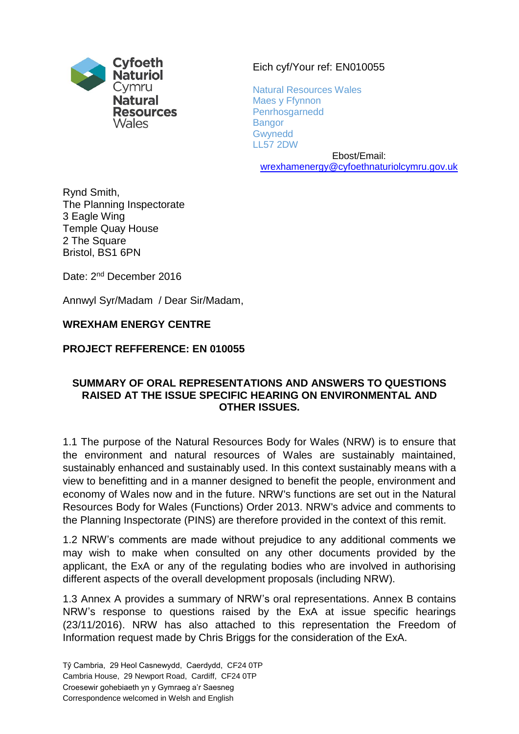

## Eich cyf/Your ref: EN010055

Natural Resources Wales Maes y Ffynnon Penrhosgarnedd **Bangor Gwynedd** LL57 2DW

Ebost/Email: [wrexhamenergy@cyfoethnaturiolcymru.gov.uk](mailto:wrexhamenergy@cyfoethnaturiolcymru.gov.uk)

Rynd Smith, The Planning Inspectorate 3 Eagle Wing Temple Quay House 2 The Square Bristol, BS1 6PN

Date: 2<sup>nd</sup> December 2016

Annwyl Syr/Madam / Dear Sir/Madam,

## **WREXHAM ENERGY CENTRE**

**PROJECT REFFERENCE: EN 010055** 

## **SUMMARY OF ORAL REPRESENTATIONS AND ANSWERS TO QUESTIONS RAISED AT THE ISSUE SPECIFIC HEARING ON ENVIRONMENTAL AND OTHER ISSUES.**

1.1 The purpose of the Natural Resources Body for Wales (NRW) is to ensure that the environment and natural resources of Wales are sustainably maintained, sustainably enhanced and sustainably used. In this context sustainably means with a view to benefitting and in a manner designed to benefit the people, environment and economy of Wales now and in the future. NRW's functions are set out in the Natural Resources Body for Wales (Functions) Order 2013. NRW's advice and comments to the Planning Inspectorate (PINS) are therefore provided in the context of this remit.

1.2 NRW's comments are made without prejudice to any additional comments we may wish to make when consulted on any other documents provided by the applicant, the ExA or any of the regulating bodies who are involved in authorising different aspects of the overall development proposals (including NRW).

1.3 Annex A provides a summary of NRW's oral representations. Annex B contains NRW's response to questions raised by the ExA at issue specific hearings (23/11/2016). NRW has also attached to this representation the Freedom of Information request made by Chris Briggs for the consideration of the ExA.

Tŷ Cambria, 29 Heol Casnewydd, Caerdydd, CF24 0TP Cambria House, 29 Newport Road, Cardiff, CF24 0TP Croesewir gohebiaeth yn y Gymraeg a'r Saesneg Correspondence welcomed in Welsh and English